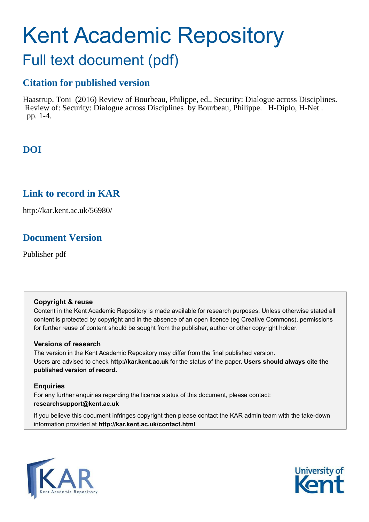# Kent Academic Repository Full text document (pdf)

#### **Citation for published version**

Haastrup, Toni (2016) Review of Bourbeau, Philippe, ed., Security: Dialogue across Disciplines. Review of: Security: Dialogue across Disciplines by Bourbeau, Philippe. H-Diplo, H-Net . pp. 1-4.

## **DOI**

## **Link to record in KAR**

http://kar.kent.ac.uk/56980/

## **Document Version**

Publisher pdf

#### **Copyright & reuse**

Content in the Kent Academic Repository is made available for research purposes. Unless otherwise stated all content is protected by copyright and in the absence of an open licence (eg Creative Commons), permissions for further reuse of content should be sought from the publisher, author or other copyright holder.

#### **Versions of research**

The version in the Kent Academic Repository may differ from the final published version. Users are advised to check **http://kar.kent.ac.uk** for the status of the paper. **Users should always cite the published version of record.**

#### **Enquiries**

For any further enquiries regarding the licence status of this document, please contact: **researchsupport@kent.ac.uk**

If you believe this document infringes copyright then please contact the KAR admin team with the take-down information provided at **http://kar.kent.ac.uk/contact.html**



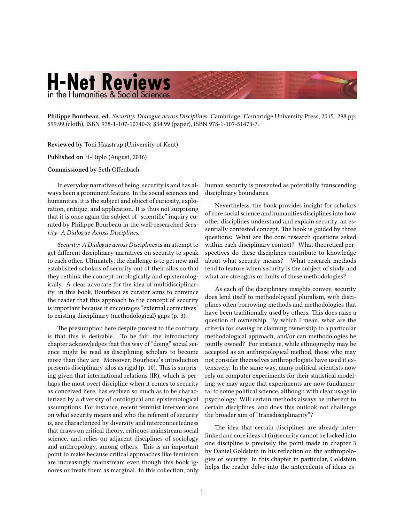## **H-Net Reviews** in the Humanities & Social Sciences

Philippe Bourbeau, ed. [Security: Dialogue across Disciplines.](http://www.amazon.com/exec/obidos/ASIN/1107514738) Cambridge: Cambridge University Press, 2015. 298 pp. \$99.99 (cloth), ISBN 978-1-107-10740-3; \$34.99 (paper), ISBN 978-1-107-51473-7.

Reviewed by Toni Haastrup (University of Kent)

Published on H-Diplo (August, 2016)

Commissioned by Seth Offenbach

In everyday narratives of being, security is and has always been a prominent feature. In the social sciences and humanities, it is the subject and object of curiosity, exploration, critique, and application. It is thus not surprising that it is once again the subject of "scientific" inquiry curated by Philippe Bourbeau in the well-researched Security: A Dialogue Across Disciplines.

Security: A Dialogue across Disciplines is an attempt to get different disciplinary narratives on security to speak to each other. Ultimately, the challenge is to get new and established scholars of security out of their silos so that they rethink the concept ontologically and epistemologically. A clear advocate for the idea of multidisciplinarity, in this book, Bourbeau as curator aims to convince the reader that this approach to the concept of security is important because it encourages "external correctives" to existing disciplinary (methodological) gaps (p. 3).

The presumption here despite protest to the contrary is that this is desirable. To be fair, the introductory chapter acknowledges that this way of "doing" social science might be read as disciplining scholars to become more than they are. Moreover, Bourbeau's introduction presents disciplinary silos as rigid (p. 10). This is surprising given that international relations (IR), which is perhaps the most overt discipline when it comes to security as conceived here, has evolved so much as to be characterized by a diversity of ontological and epistemological assumptions. For instance, recent feminist interventions on what security means and who the referent of security is, are characterized by diversity and interconnectedness that draws on critical theory, critiques mainstream social science, and relies on adjacent disciplines of sociology and anthropology, among others. This is an important point to make because critical approaches like feminism are increasingly mainstream even though this book ignores or treats them as marginal. In this collection, only

human security is presented as potentially transcending disciplinary boundaries.

Nevertheless, the book provides insight for scholars of core social science and humanities disciplines into how other disciplines understand and explain security, an essentially contested concept. The book is guided by three questions: What are the core research questions asked within each disciplinary context? What theoretical perspectives do these disciplines contribute to knowledge about what security means? What research methods tend to feature when security is the subject of study and what are strengths or limits of these methodologies?

As each of the disciplinary insights convey, security does lend itself to methodological pluralism, with disciplines often borrowing methods and methodologies that have been traditionally used by others. This does raise a question of ownership. By which I mean, what are the criteria for owning or claiming ownership to a particular methodological approach, and/or can methodologies be jointly owned? For instance, while ethnography may be accepted as an anthropological method, those who may not consider themselves anthropologists have used it extensively. In the same way, many political scientists now rely on computer experiments for their statistical modeling; we may argue that experiments are now fundamental to some political science, although with clear usage in psychology. Will certain methods always be inherent to certain disciplines, and does this outlook not challenge the broader aim of "transdisciplinarity"?

The idea that certain disciplines are already interlinked and core ideas of (in)security cannot be locked into one discipline is precisely the point made in chapter 3 by Daniel Goldstein in his reflection on the anthropologies of security. In this chapter in particular, Goldstein helps the reader delve into the antecedents of ideas es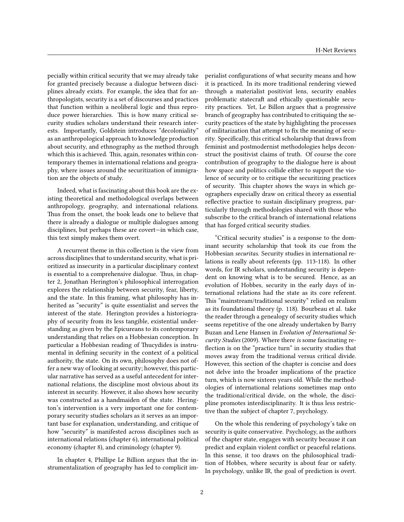pecially within critical security that we may already take for granted precisely because a dialogue between disciplines already exists. For example, the idea that for anthropologists, security is a set of discourses and practices that function within a neoliberal logic and thus reproduce power hierarchies. This is how many critical security studies scholars understand their research interests. Importantly, Goldstein introduces "decoloniality" as an anthropological approach to knowledge production about security, and ethnography as the method through which this is achieved. This, again, resonates within contemporary themes in international relations and geography, where issues around the securitization of immigration are the objects of study.

Indeed, what is fascinating about this book are the existing theoretical and methodological overlaps between anthropology, geography, and international relations. Thus from the onset, the book leads one to believe that there is already a dialogue or multiple dialogues among disciplines, but perhaps these are covert-in which case, this text simply makes them overt.

A recurrent theme in this collection is the view from across disciplines that to understand security, what is prioritized as insecurity in a particular disciplinary context is essential to a comprehensive dialogue. Thus, in chapter 2, Jonathan Herington's philosophical interrogation explores the relationship between security, fear, liberty, and the state. In this framing, what philosophy has inherited as "security" is quite essentialist and serves the interest of the state. Herington provides a historiography of security from its less tangible, existential understanding as given by the Epicureans to its contemporary understanding that relies on a Hobbesian conception. In particular a Hobbesian reading of Thucydides is instrumental in defining security in the context of a political authority, the state. On its own, philosophy does not offer a new way of looking at security; however, this particular narrative has served as a useful antecedent for international relations, the discipline most obvious about its interest in security. However, it also shows how security was constructed as a handmaiden of the state. Herington's intervention is a very important one for contemporary security studies scholars as it serves as an important base for explanation, understanding, and critique of how "security" is manifested across disciplines such as international relations (chapter 6), international political economy (chapter 8), and criminology (chapter 9).

In chapter 4, Phillipe Le Billion argues that the instrumentalization of geography has led to complicit imperialist configurations of what security means and how it is practiced. In its more traditional rendering viewed through a materialist positivist lens, security enables problematic statecraॏ and ethically questionable security practices. Yet, Le Billon argues that a progressive branch of geography has contributed to critiquing the security practices of the state by highlighting the processes of militarization that attempt to fix the meaning of security. Specifically, this critical scholarship that draws from feminist and postmodernist methodologies helps deconstruct the positivist claims of truth. Of course the core contribution of geography to the dialogue here is about how space and politics collide either to support the violence of security or to critique the securitizing practices of security. This chapter shows the ways in which geographers especially draw on critical theory as essential reflective practice to sustain disciplinary progress, particularly through methodologies shared with those who subscribe to the critical branch of international relations that has forged critical security studies.

۠Critical security studiesۡ is a response to the dominant security scholarship that took its cue from the Hobbesian securitas. Security studies in international relations is really about referents (pp. 113-118). In other words, for IR scholars, understanding security is dependent on knowing what is to be secured. Hence, as an evolution of Hobbes, security in the early days of international relations had the state as its core referent. This "mainstream/traditional security" relied on realism as its foundational theory (p. 118). Bourbeau et al. take the reader through a genealogy of security studies which seems repetitive of the one already undertaken by Barry Buzan and Lene Hansen in Evolution of International Security Studies (2009). Where there is some fascinating re flection is on the "practice turn" in security studies that moves away from the traditional versus critical divide. However, this section of the chapter is concise and does not delve into the broader implications of the practice turn, which is now sixteen years old. While the methodologies of international relations sometimes map onto the traditional/critical divide, on the whole, the discipline promotes interdisciplinarity. It is thus less restrictive than the subject of chapter 7, psychology.

On the whole this rendering of psychology's take on security is quite conservative. Psychology, as the authors of the chapter state, engages with security because it can predict and explain violent conflict or peaceful relations. In this sense, it too draws on the philosophical tradition of Hobbes, where security is about fear or safety. In psychology, unlike IR, the goal of prediction is overt.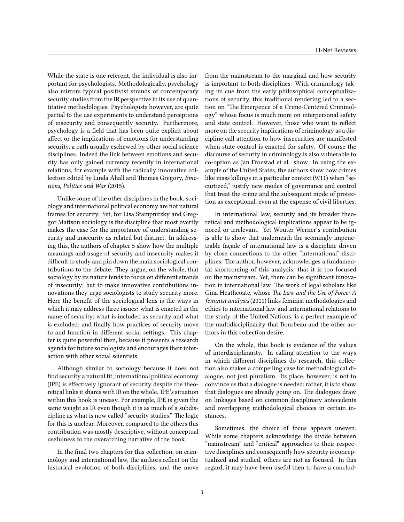While the state is one referent, the individual is also important for psychologists. Methodologically, psychology also mirrors typical positivist strands of contemporary security studies from the IR perspective in its use of quantitative methodologies. Psychologists however, are quite partial to the use experiments to understand perceptions of insecurity and consequently security. Furthermore, psychology is a field that has been quite explicit about affect or the implications of emotions for understanding security, a path usually eschewed by other social science disciplines. Indeed the link between emotions and security has only gained currency recently in international relations, for example with the radically innovative collection edited by Linda Åhäll and Thomas Gregory, Emotions, Politics and War (2015).

Unlike some of the other disciplines in the book, sociology and international political economy are not natural frames for security. Yet, for Lisa Stampnitzky and Greggor Mattson sociology is the discipline that most overtly makes the case for the importance of understanding security and insecurity as related but distinct. In addressing this, the authors of chapter 5 show how the multiple meanings and usage of security and insecurity makes it difficult to study and pin down the main sociological contributions to the debate. They argue, on the whole, that sociology by its nature tends to focus on different strands of insecurity; but to make innovative contributions innovations they urge sociologists to study security more. Here the benefit of the sociological lens is the ways in which it may address three issues: what is enacted in the name of security; what is included as security and what is excluded; and finally how practices of security move to and function in different social settings. This chapter is quite powerful then, because it presents a research agenda for future sociologists and encourages their interaction with other social scientists.

Although similar to sociology because it does not find security a natural fit, international political economy (IPE) is effectively ignorant of security despite the theoretical links it shares with IR on the whole. IPE's situation within this book is uneasy. For example, IPE is given the same weight as IR even though it is as much of a subdiscipline as what is now called "security studies." The logic for this is unclear. Moreover, compared to the others this contribution was mostly descriptive, without conceptual usefulness to the overarching narrative of the book.

In the final two chapters for this collection, on criminology and international law, the authors reflect on the historical evolution of both disciplines, and the move from the mainstream to the marginal and how security is important to both disciplines. With criminology taking its cue from the early philosophical conceptualizations of security, this traditional rendering led to a section on "The Emergence of a Crime-Centered Criminologyۡ whose focus is much more on interpersonal safety and state control. However, those who want to reflect more on the security implications of criminology as a discipline call attention to how insecurities are manifested when state control is enacted for safety. Of course the discourse of security in criminology is also vulnerable to co-option as Jan Froestad et al. show. In using the example of the United States, the authors show how crimes like mass killings in a particular context  $(9/11)$  when "securtized,ۡ justify new modes of governance and control that treat the crime and the subsequent mode of protection as exceptional, even at the expense of civil liberties.

In international law, security and its broader theoretical and methodological implications appear to be ignored or irrelevant. Yet Wouter Werner's contribution is able to show that underneath the seemingly impenetrable façade of international law is a discipline driven by close connections to the other "international" disciplines. The author, however, acknowledges a fundamental shortcoming of this analysis; that it is too focused on the mainstream. Yet, there can be significant innovation in international law. The work of legal scholars like Gina Heathcoate, whose The Law and the Use of Force: A feminist analysis (2011) links feminist methodologies and ethics to international law and international relations to the study of the United Nations, is a perfect example of the multidisciplinarity that Bourbeau and the other authors in this collection desire.

On the whole, this book is evidence of the values of interdisciplinarity. In calling attention to the ways in which different disciplines do research, this collection also makes a compelling case for methodological dialogue, not just pluralism. Its place, however, is not to convince us that a dialogue is needed; rather, it is to show that dialogues are already going on. The dialogues draw on linkages based on common disciplinary antecedents and overlapping methodological choices in certain instances.

Sometimes, the choice of focus appears uneven. While some chapters acknowledge the divide between "mainstream" and "critical" approaches to their respective disciplines and consequently how security is conceptualized and studied, others are not as focused. In this regard, it may have been useful then to have a conclud